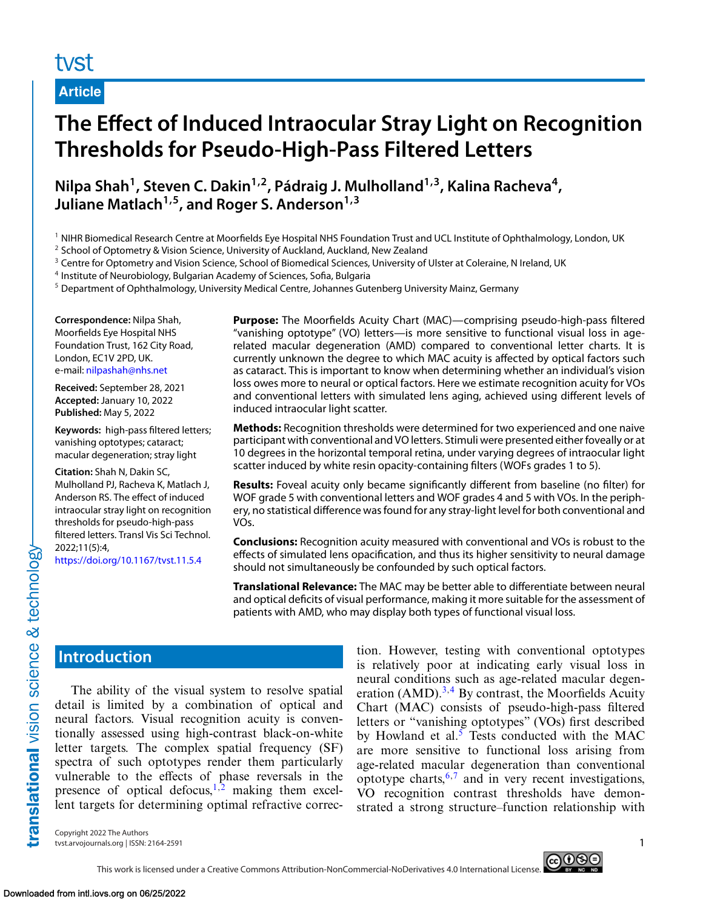## tyst

**Article**

# **The Effect of Induced Intraocular Stray Light on Recognition Thresholds for Pseudo-High-Pass Filtered Letters**

**Nilpa Shah1, Steven C. Dakin1,2, Pádraig J. Mulholland1,3, Kalina Racheva4,** Juliane Matlach<sup>1,5</sup>, and Roger S. Anderson<sup>1,3</sup>

<sup>1</sup> NIHR Biomedical Research Centre at Moorfields Eye Hospital NHS Foundation Trust and UCL Institute of Ophthalmology, London, UK

<sup>2</sup> School of Optometry & Vision Science, University of Auckland, Auckland, New Zealand

<sup>3</sup> Centre for Optometry and Vision Science, School of Biomedical Sciences, University of Ulster at Coleraine, N Ireland, UK

This work is licensed under a Creative Commons Attribution-NonCommercial-NoDerivatives 4.0 International License.

<sup>4</sup> Institute of Neurobiology, Bulgarian Academy of Sciences, Sofia, Bulgaria

<sup>5</sup> Department of Ophthalmology, University Medical Centre, Johannes Gutenberg University Mainz, Germany

**Correspondence:** Nilpa Shah, Moorfields Eye Hospital NHS Foundation Trust, 162 City Road, London, EC1V 2PD, UK. e-mail: [nilpashah@nhs.net](mailto:nilpashah@nhs.net)

**Received:** September 28, 2021 **Accepted:** January 10, 2022 **Published:** May 5, 2022

**Keywords:** high-pass filtered letters; vanishing optotypes; cataract; macular degeneration; stray light

**Citation:** Shah N, Dakin SC, Mulholland PJ, Racheva K, Matlach J, Anderson RS. The effect of induced intraocular stray light on recognition thresholds for pseudo-high-pass filtered letters. Transl Vis Sci Technol. 2022;11(5):4,

<https://doi.org/10.1167/tvst.11.5.4>

**Purpose:** The Moorfields Acuity Chart (MAC)—comprising pseudo-high-pass filtered "vanishing optotype" (VO) letters—is more sensitive to functional visual loss in agerelated macular degeneration (AMD) compared to conventional letter charts. It is currently unknown the degree to which MAC acuity is affected by optical factors such as cataract. This is important to know when determining whether an individual's vision loss owes more to neural or optical factors. Here we estimate recognition acuity for VOs and conventional letters with simulated lens aging, achieved using different levels of induced intraocular light scatter.

**Methods:** Recognition thresholds were determined for two experienced and one naive participant with conventional and VO letters. Stimuli were presented either foveally or at 10 degrees in the horizontal temporal retina, under varying degrees of intraocular light scatter induced by white resin opacity-containing filters (WOFs grades 1 to 5).

**Results:** Foveal acuity only became significantly different from baseline (no filter) for WOF grade 5 with conventional letters and WOF grades 4 and 5 with VOs. In the periphery, no statistical difference was found for any stray-light level for both conventional and VOs.

**Conclusions:** Recognition acuity measured with conventional and VOs is robust to the effects of simulated lens opacification, and thus its higher sensitivity to neural damage should not simultaneously be confounded by such optical factors.

**Translational Relevance:** The MAC may be better able to differentiate between neural and optical deficits of visual performance, making it more suitable for the assessment of patients with AMD, who may display both types of functional visual loss.

## **Introduction**

translational vision science & technology

The ability of the visual system to resolve spatial detail is limited by a combination of optical and neural factors. Visual recognition acuity is conventionally assessed using high-contrast black-on-white letter targets. The complex spatial frequency (SF) spectra of such optotypes render them particularly vulnerable to the effects of phase reversals in the presence of optical defocus,<sup>[1,2](#page-6-0)</sup> making them excellent targets for determining optimal refractive correc-

tion. However, testing with conventional optotypes is relatively poor at indicating early visual loss in neural conditions such as age-related macular degeneration  $(AMD).^{3,4}$  $(AMD).^{3,4}$  $(AMD).^{3,4}$  By contrast, the Moorfields Acuity Chart (MAC) consists of pseudo-high-pass filtered letters or "vanishing optotypes" (VOs) first described by Howland et al.<sup>[5](#page-6-0)</sup> Tests conducted with the MAC are more sensitive to functional loss arising from age-related macular degeneration than conventional optotype charts,  $6,7$  and in very recent investigations, VO recognition contrast thresholds have demonstrated a strong structure–function relationship with

Copyright 2022 The Authors tvst.arvojournals.org | ISSN: 2164-2591 1

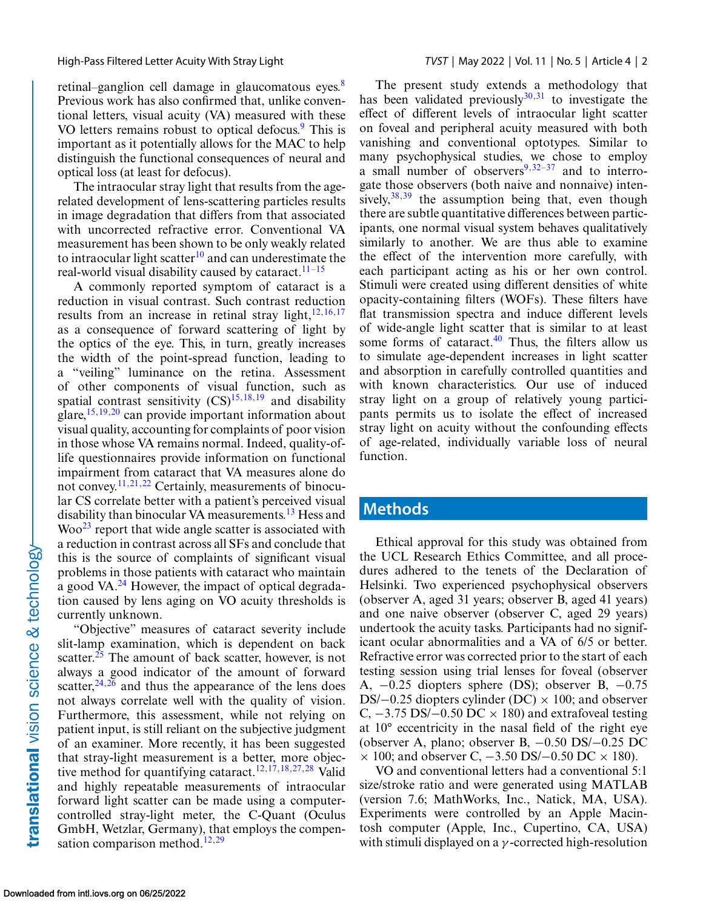retinal–ganglion cell damage in glaucomatous eyes.<sup>[8](#page-6-0)</sup> Previous work has also confirmed that, unlike conventional letters, visual acuity (VA) measured with these VO letters remains robust to optical defocus.<sup>9</sup> This is important as it potentially allows for the MAC to help distinguish the functional consequences of neural and optical loss (at least for defocus).

The intraocular stray light that results from the agerelated development of lens-scattering particles results in image degradation that differs from that associated with uncorrected refractive error. Conventional VA measurement has been shown to be only weakly related to intraocular light scatter<sup>[10](#page-6-0)</sup> and can underestimate the real-world visual disability caused by cataract.<sup>[11–15](#page-6-0)</sup>

A commonly reported symptom of cataract is a reduction in visual contrast. Such contrast reduction results from an increase in retinal stray light, $12,16,17$ as a consequence of forward scattering of light by the optics of the eye. This, in turn, greatly increases the width of the point-spread function, leading to a "veiling" luminance on the retina. Assessment of other components of visual function, such as spatial contrast sensitivity  $(CS)^{15,18,19}$  and disability glare,  $15,19,20$  can provide important information about visual quality, accounting for complaints of poor vision in those whose VA remains normal. Indeed, quality-oflife questionnaires provide information on functional impairment from cataract that VA measures alone do not convey.[11,21,22](#page-6-0) Certainly, measurements of binocular CS correlate better with a patient's perceived visual disability than binocular VA measurements.<sup>[13](#page-6-0)</sup> Hess and  $Woo<sup>23</sup>$  report that wide angle scatter is associated with a reduction in contrast across all SFs and conclude that this is the source of complaints of significant visual problems in those patients with cataract who maintain a good VA. $^{24}$  $^{24}$  $^{24}$  However, the impact of optical degradation caused by lens aging on VO acuity thresholds is currently unknown.

"Objective" measures of cataract severity include slit-lamp examination, which is dependent on back scatter.<sup>25</sup> The amount of back scatter, however, is not always a good indicator of the amount of forward scatter,  $24,26$  and thus the appearance of the lens does not always correlate well with the quality of vision. Furthermore, this assessment, while not relying on patient input, is still reliant on the subjective judgment of an examiner. More recently, it has been suggested that stray-light measurement is a better, more objec-tive method for quantifying cataract.<sup>[12,17,18,27,](#page-6-0)[28](#page-7-0)</sup> Valid and highly repeatable measurements of intraocular forward light scatter can be made using a computercontrolled stray-light meter, the C-Quant (Oculus GmbH, Wetzlar, Germany), that employs the compen-sation comparison method.<sup>[12,](#page-6-0)[29](#page-7-0)</sup>

The present study extends a methodology that has been validated previously $30,31$  to investigate the effect of different levels of intraocular light scatter on foveal and peripheral acuity measured with both vanishing and conventional optotypes. Similar to many psychophysical studies, we chose to employ a small number of observers $9,32-37$  and to interrogate those observers (both naive and nonnaive) intensively,  $38,39$  the assumption being that, even though there are subtle quantitative differences between participants, one normal visual system behaves qualitatively similarly to another. We are thus able to examine the effect of the intervention more carefully, with each participant acting as his or her own control. Stimuli were created using different densities of white opacity-containing filters (WOFs). These filters have flat transmission spectra and induce different levels of wide-angle light scatter that is similar to at least some forms of cataract. $40$  Thus, the filters allow us to simulate age-dependent increases in light scatter and absorption in carefully controlled quantities and with known characteristics. Our use of induced stray light on a group of relatively young participants permits us to isolate the effect of increased stray light on acuity without the confounding effects of age-related, individually variable loss of neural function.

#### **Methods**

Ethical approval for this study was obtained from the UCL Research Ethics Committee, and all procedures adhered to the tenets of the Declaration of Helsinki. Two experienced psychophysical observers (observer A, aged 31 years; observer B, aged 41 years) and one naive observer (observer C, aged 29 years) undertook the acuity tasks. Participants had no significant ocular abnormalities and a VA of 6/5 or better. Refractive error was corrected prior to the start of each testing session using trial lenses for foveal (observer A, −0.25 diopters sphere (DS); observer B, −0.75 DS/ $-0.25$  diopters cylinder (DC)  $\times$  100; and observer C,  $-3.75$  DS/ $-0.50$  DC  $\times$  180) and extrafoveal testing at 10° eccentricity in the nasal field of the right eye (observer A, plano; observer B, −0.50 DS/−0.25 DC  $\times$  100; and observer C,  $-3.50$  DS/ $-0.50$  DC  $\times$  180).

VO and conventional letters had a conventional 5:1 size/stroke ratio and were generated using MATLAB (version 7.6; MathWorks, Inc., Natick, MA, USA). Experiments were controlled by an Apple Macintosh computer (Apple, Inc., Cupertino, CA, USA) with stimuli displayed on a  $\gamma$ -corrected high-resolution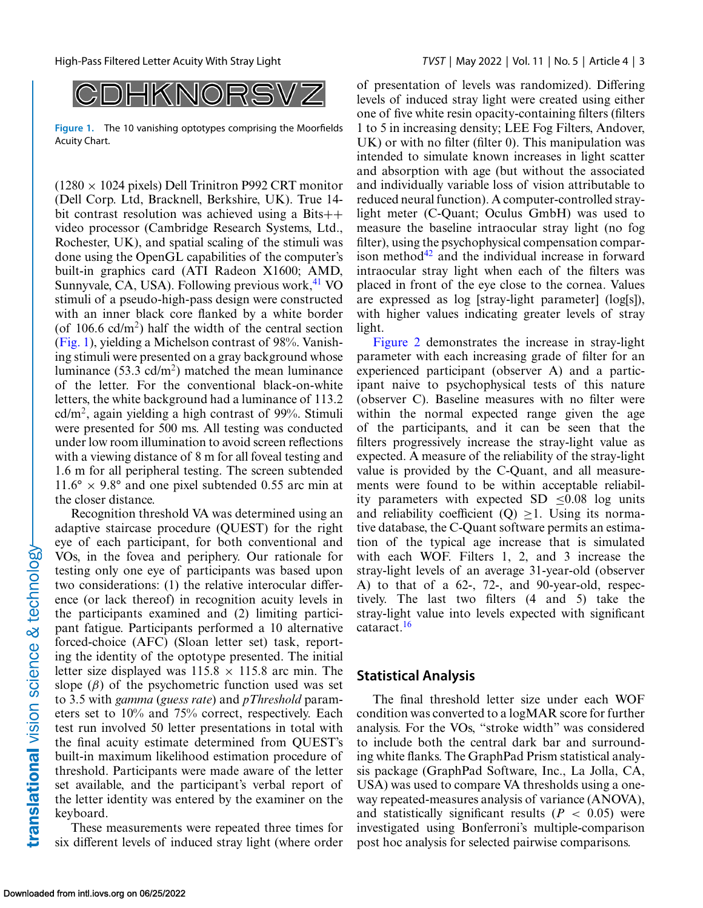

**Figure 1.** The 10 vanishing optotypes comprising the Moorfields Acuity Chart.

 $(1280 \times 1024$  pixels) Dell Trinitron P992 CRT monitor (Dell Corp. Ltd, Bracknell, Berkshire, UK). True 14 bit contrast resolution was achieved using a Bits++ video processor (Cambridge Research Systems, Ltd., Rochester, UK), and spatial scaling of the stimuli was done using the OpenGL capabilities of the computer's built-in graphics card (ATI Radeon X1600; AMD, Sunnyvale, CA, USA). Following previous work, $41$  VO stimuli of a pseudo-high-pass design were constructed with an inner black core flanked by a white border (of  $106.6$  cd/m<sup>2</sup>) half the width of the central section (Fig. 1), yielding a Michelson contrast of 98%. Vanishing stimuli were presented on a gray background whose luminance (53.3 cd/m<sup>2</sup>) matched the mean luminance of the letter. For the conventional black-on-white letters, the white background had a luminance of 113.2  $cd/m<sup>2</sup>$ , again yielding a high contrast of 99%. Stimuli were presented for 500 ms. All testing was conducted under low room illumination to avoid screen reflections with a viewing distance of 8 m for all foveal testing and 1.6 m for all peripheral testing. The screen subtended  $11.6^\circ \times 9.8^\circ$  and one pixel subtended 0.55 arc min at the closer distance.

Recognition threshold VA was determined using an adaptive staircase procedure (QUEST) for the right eye of each participant, for both conventional and VOs, in the fovea and periphery. Our rationale for testing only one eye of participants was based upon two considerations: (1) the relative interocular difference (or lack thereof) in recognition acuity levels in the participants examined and (2) limiting participant fatigue. Participants performed a 10 alternative forced-choice (AFC) (Sloan letter set) task, reporting the identity of the optotype presented. The initial letter size displayed was  $115.8 \times 115.8$  arc min. The slope  $(\beta)$  of the psychometric function used was set to 3.5 with *gamma* (*guess rate*) and *pThreshold* parameters set to 10% and 75% correct, respectively. Each test run involved 50 letter presentations in total with the final acuity estimate determined from QUEST's built-in maximum likelihood estimation procedure of threshold. Participants were made aware of the letter set available, and the participant's verbal report of the letter identity was entered by the examiner on the keyboard.

These measurements were repeated three times for six different levels of induced stray light (where order

of presentation of levels was randomized). Differing levels of induced stray light were created using either one of five white resin opacity-containing filters (filters 1 to 5 in increasing density; LEE Fog Filters, Andover, UK) or with no filter (filter 0). This manipulation was intended to simulate known increases in light scatter and absorption with age (but without the associated and individually variable loss of vision attributable to reduced neural function). A computer-controlled straylight meter (C-Quant; Oculus GmbH) was used to measure the baseline intraocular stray light (no fog filter), using the psychophysical compensation comparison method $42$  and the individual increase in forward intraocular stray light when each of the filters was placed in front of the eye close to the cornea. Values are expressed as log [stray-light parameter] (log[s]), with higher values indicating greater levels of stray light.

[Figure 2](#page-3-0) demonstrates the increase in stray-light parameter with each increasing grade of filter for an experienced participant (observer A) and a participant naive to psychophysical tests of this nature (observer C). Baseline measures with no filter were within the normal expected range given the age of the participants, and it can be seen that the filters progressively increase the stray-light value as expected. A measure of the reliability of the stray-light value is provided by the C-Quant, and all measurements were found to be within acceptable reliability parameters with expected  $SD < 0.08$  log units and reliability coefficient  $(Q) > 1$ . Using its normative database, the C-Quant software permits an estimation of the typical age increase that is simulated with each WOF. Filters 1, 2, and 3 increase the stray-light levels of an average 31-year-old (observer A) to that of a 62-, 72-, and 90-year-old, respectively. The last two filters (4 and 5) take the stray-light value into levels expected with significant cataract.[16](#page-6-0)

#### **Statistical Analysis**

The final threshold letter size under each WOF condition was converted to a logMAR score for further analysis. For the VOs, "stroke width" was considered to include both the central dark bar and surrounding white flanks. The GraphPad Prism statistical analysis package (GraphPad Software, Inc., La Jolla, CA, USA) was used to compare VA thresholds using a oneway repeated-measures analysis of variance (ANOVA), and statistically significant results  $(P < 0.05)$  were investigated using Bonferroni's multiple-comparison post hoc analysis for selected pairwise comparisons.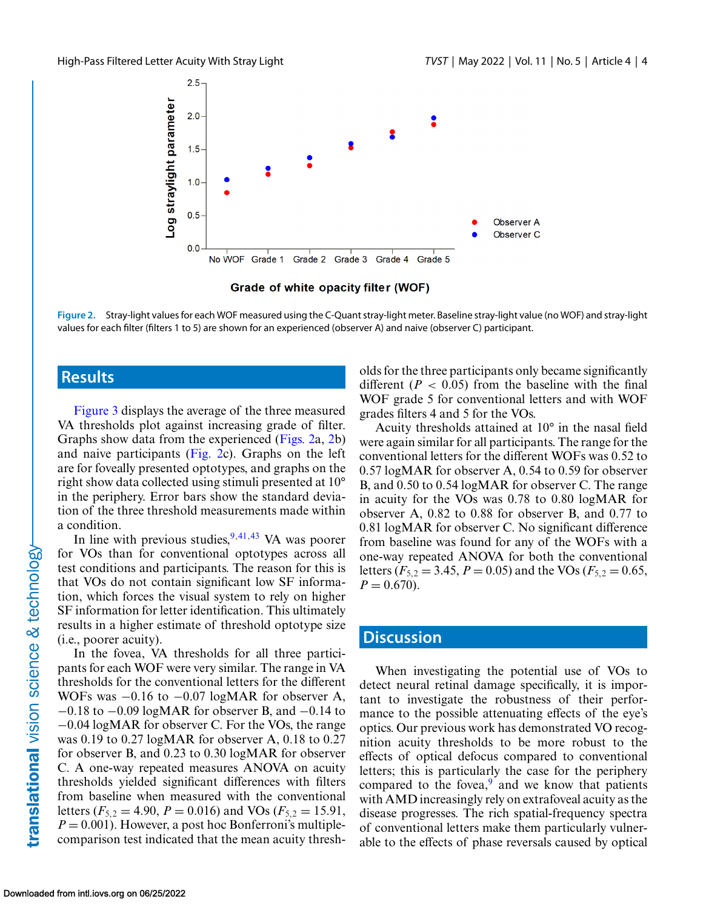<span id="page-3-0"></span>

Grade of white opacity filter (WOF)

**Figure 2.** Stray-light values for each WOF measured using the C-Quant stray-light meter. Baseline stray-light value (no WOF) and stray-light values for each filter (filters 1 to 5) are shown for an experienced (observer A) and naive (observer C) participant.

### **Results**

[Figure 3](#page-4-0) displays the average of the three measured VA thresholds plot against increasing grade of filter. Graphs show data from the experienced (Figs. 2a, 2b) and naive participants (Fig. 2c). Graphs on the left are for foveally presented optotypes, and graphs on the right show data collected using stimuli presented at 10° in the periphery. Error bars show the standard deviation of the three threshold measurements made within a condition.

In line with previous studies,  $9,41,43$  $9,41,43$  VA was poorer for VOs than for conventional optotypes across all test conditions and participants. The reason for this is that VOs do not contain significant low SF information, which forces the visual system to rely on higher SF information for letter identification. This ultimately results in a higher estimate of threshold optotype size (i.e., poorer acuity).

In the fovea, VA thresholds for all three participants for each WOF were very similar. The range in VA thresholds for the conventional letters for the different WOFs was −0.16 to −0.07 logMAR for observer A, −0.18 to −0.09 logMAR for observer B, and −0.14 to −0.04 logMAR for observer C. For the VOs, the range was 0.19 to 0.27 logMAR for observer A, 0.18 to 0.27 for observer B, and 0.23 to 0.30 logMAR for observer C. A one-way repeated measures ANOVA on acuity thresholds yielded significant differences with filters from baseline when measured with the conventional letters ( $F_{5,2} = 4.90$ ,  $P = 0.016$ ) and VOs ( $F_{5,2} = 15.91$ ,  $P = 0.001$ ). However, a post hoc Bonferroni's multiplecomparison test indicated that the mean acuity thresholds for the three participants only became significantly different  $(P < 0.05)$  from the baseline with the final WOF grade 5 for conventional letters and with WOF grades filters 4 and 5 for the VOs.

Acuity thresholds attained at 10° in the nasal field were again similar for all participants. The range for the conventional letters for the different WOFs was 0.52 to 0.57 logMAR for observer A, 0.54 to 0.59 for observer B, and 0.50 to 0.54 logMAR for observer C. The range in acuity for the VOs was 0.78 to 0.80 logMAR for observer A, 0.82 to 0.88 for observer B, and 0.77 to 0.81 logMAR for observer C. No significant difference from baseline was found for any of the WOFs with a one-way repeated ANOVA for both the conventional letters ( $F_{5,2} = 3.45$ ,  $P = 0.05$ ) and the VOs ( $F_{5,2} = 0.65$ ,  $P = 0.670$ .

#### **Discussion**

When investigating the potential use of VOs to detect neural retinal damage specifically, it is important to investigate the robustness of their performance to the possible attenuating effects of the eye's optics. Our previous work has demonstrated VO recognition acuity thresholds to be more robust to the effects of optical defocus compared to conventional letters; this is particularly the case for the periphery compared to the fovea, $9$  and we know that patients with AMD increasingly rely on extrafoveal acuity as the disease progresses. The rich spatial-frequency spectra of conventional letters make them particularly vulnerable to the effects of phase reversals caused by optical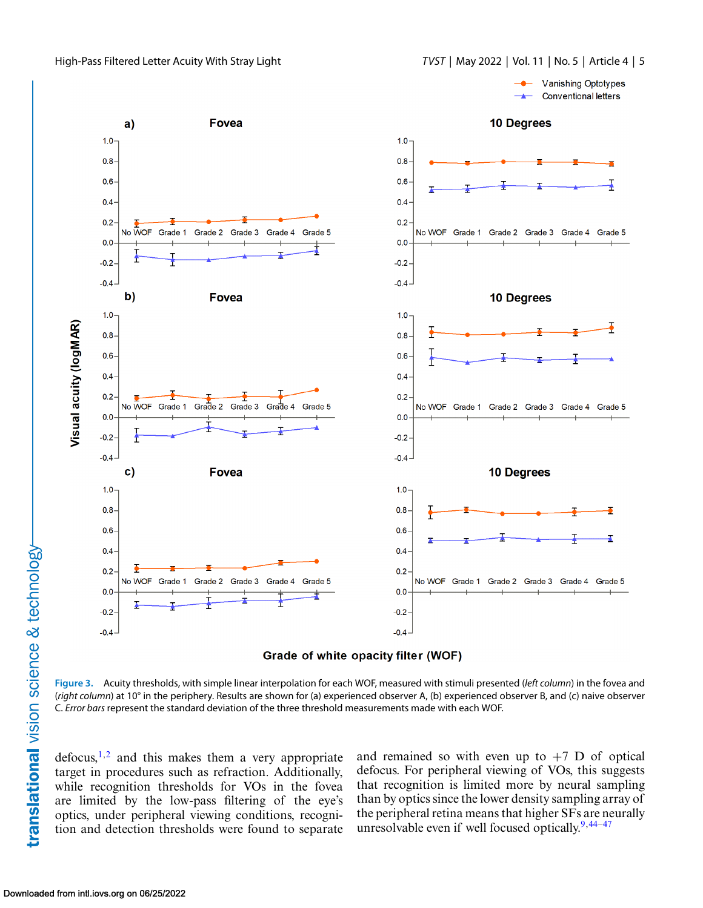<span id="page-4-0"></span>





**Figure 3.** Acuity thresholds, with simple linear interpolation for each WOF, measured with stimuli presented (*left column*) in the fovea and (*right column*) at 10° in the periphery. Results are shown for (a) experienced observer A, (b) experienced observer B, and (c) naive observer C. *Error bars* represent the standard deviation of the three threshold measurements made with each WOF.

 $defocus<sub>1</sub>,<sup>2</sup>$  and this makes them a very appropriate target in procedures such as refraction. Additionally, while recognition thresholds for VOs in the fovea are limited by the low-pass filtering of the eye's optics, under peripheral viewing conditions, recognition and detection thresholds were found to separate

and remained so with even up to  $+7$  D of optical defocus. For peripheral viewing of VOs, this suggests that recognition is limited more by neural sampling than by optics since the lower density sampling array of the peripheral retina means that higher SFs are neurally unresolvable even if well focused optically. $9,44-47$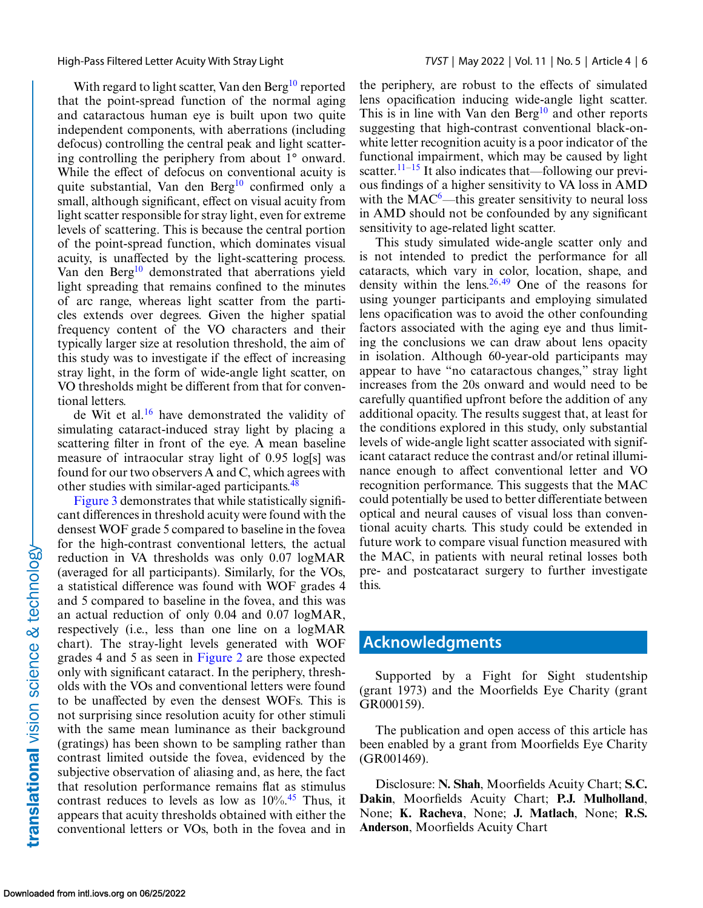With regard to light scatter, Van den Berg<sup>[10](#page-6-0)</sup> reported that the point-spread function of the normal aging and cataractous human eye is built upon two quite independent components, with aberrations (including defocus) controlling the central peak and light scattering controlling the periphery from about 1° onward. While the effect of defocus on conventional acuity is quite substantial, Van den Berg<sup>10</sup> confirmed only a small, although significant, effect on visual acuity from light scatter responsible for stray light, even for extreme levels of scattering. This is because the central portion of the point-spread function, which dominates visual acuity, is unaffected by the light-scattering process. Van den Berg<sup>[10](#page-6-0)</sup> demonstrated that aberrations yield light spreading that remains confined to the minutes of arc range, whereas light scatter from the particles extends over degrees. Given the higher spatial frequency content of the VO characters and their typically larger size at resolution threshold, the aim of this study was to investigate if the effect of increasing stray light, in the form of wide-angle light scatter, on VO thresholds might be different from that for conventional letters.

de Wit et al.[16](#page-6-0) have demonstrated the validity of simulating cataract-induced stray light by placing a scattering filter in front of the eye. A mean baseline measure of intraocular stray light of 0.95 log[s] was found for our two observers A and C, which agrees with other studies with similar-aged participants.<sup>[48](#page-7-0)</sup>

[Figure 3](#page-4-0) demonstrates that while statistically significant differences in threshold acuity were found with the densest WOF grade 5 compared to baseline in the fovea for the high-contrast conventional letters, the actual reduction in VA thresholds was only 0.07 logMAR (averaged for all participants). Similarly, for the VOs, a statistical difference was found with WOF grades 4 and 5 compared to baseline in the fovea, and this was an actual reduction of only 0.04 and 0.07 logMAR, respectively (i.e., less than one line on a logMAR chart). The stray-light levels generated with WOF grades 4 and 5 as seen in [Figure 2](#page-3-0) are those expected only with significant cataract. In the periphery, thresholds with the VOs and conventional letters were found to be unaffected by even the densest WOFs. This is not surprising since resolution acuity for other stimuli with the same mean luminance as their background (gratings) has been shown to be sampling rather than contrast limited outside the fovea, evidenced by the subjective observation of aliasing and, as here, the fact that resolution performance remains flat as stimulus contrast reduces to levels as low as  $10\%$ .<sup>[45](#page-7-0)</sup> Thus, it appears that acuity thresholds obtained with either the conventional letters or VOs, both in the fovea and in

the periphery, are robust to the effects of simulated lens opacification inducing wide-angle light scatter. This is in line with Van den Berg $10$  and other reports suggesting that high-contrast conventional black-onwhite letter recognition acuity is a poor indicator of the functional impairment, which may be caused by light scatter.<sup>11–15</sup> It also indicates that—following our previous findings of a higher sensitivity to VA loss in AMD with the  $MAC<sup>6</sup>$ —this greater sensitivity to neural loss in AMD should not be confounded by any significant sensitivity to age-related light scatter.

This study simulated wide-angle scatter only and is not intended to predict the performance for all cataracts, which vary in color, location, shape, and density within the lens.  $26,49$  $26,49$  One of the reasons for using younger participants and employing simulated lens opacification was to avoid the other confounding factors associated with the aging eye and thus limiting the conclusions we can draw about lens opacity in isolation. Although 60-year-old participants may appear to have "no cataractous changes," stray light increases from the 20s onward and would need to be carefully quantified upfront before the addition of any additional opacity. The results suggest that, at least for the conditions explored in this study, only substantial levels of wide-angle light scatter associated with significant cataract reduce the contrast and/or retinal illuminance enough to affect conventional letter and VO recognition performance. This suggests that the MAC could potentially be used to better differentiate between optical and neural causes of visual loss than conventional acuity charts. This study could be extended in future work to compare visual function measured with the MAC, in patients with neural retinal losses both pre- and postcataract surgery to further investigate this.

### **Acknowledgments**

Supported by a Fight for Sight studentship (grant 1973) and the Moorfields Eye Charity (grant GR000159).

The publication and open access of this article has been enabled by a grant from Moorfields Eye Charity (GR001469).

Disclosure: **N. Shah**, Moorfields Acuity Chart; **S.C. Dakin**, Moorfields Acuity Chart; **P.J. Mulholland**, None; **K. Racheva**, None; **J. Matlach**, None; **R.S. Anderson**, Moorfields Acuity Chart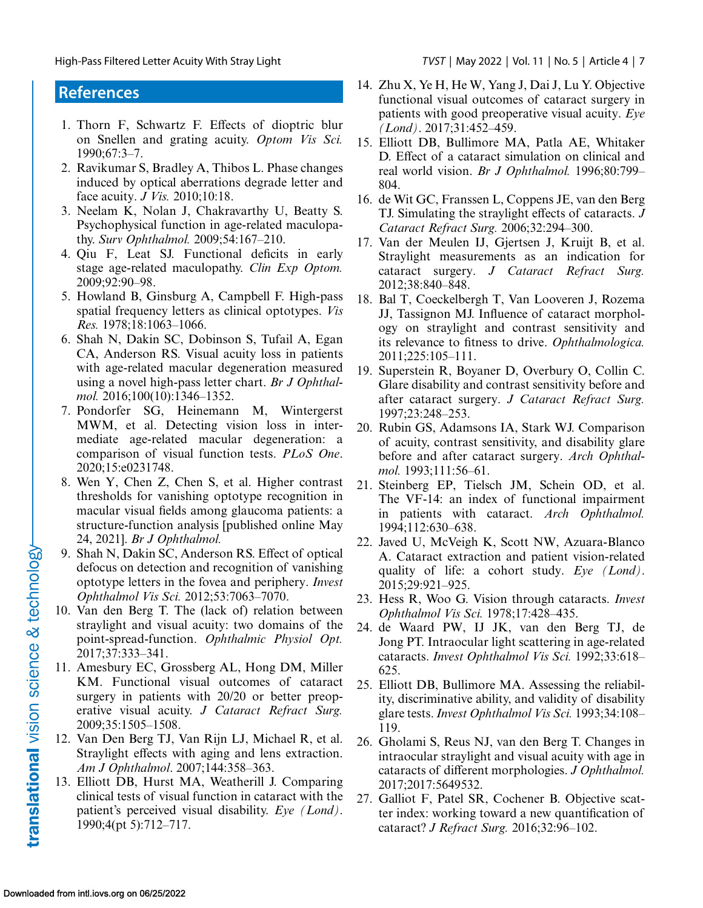### <span id="page-6-0"></span>**References**

- 1. Thorn F, Schwartz F. Effects of dioptric blur on Snellen and grating acuity. *Optom Vis Sci.* 1990;67:3–7.
- 2. Ravikumar S, Bradley A, Thibos L. Phase changes induced by optical aberrations degrade letter and face acuity. *J Vis.* 2010;10:18.
- 3. Neelam K, Nolan J, Chakravarthy U, Beatty S. Psychophysical function in age-related maculopathy. *Surv Ophthalmol.* 2009;54:167–210.
- 4. Qiu F, Leat SJ. Functional deficits in early stage age-related maculopathy. *Clin Exp Optom.* 2009;92:90–98.
- 5. Howland B, Ginsburg A, Campbell F. High-pass spatial frequency letters as clinical optotypes. *Vis Res.* 1978;18:1063–1066.
- 6. Shah N, Dakin SC, Dobinson S, Tufail A, Egan CA, Anderson RS. Visual acuity loss in patients with age-related macular degeneration measured using a novel high-pass letter chart. *Br J Ophthalmol.* 2016;100(10):1346–1352.
- 7. Pondorfer SG, Heinemann M, Wintergerst MWM, et al. Detecting vision loss in intermediate age-related macular degeneration: a comparison of visual function tests. *PLoS One*. 2020;15:e0231748.
- 8. Wen Y, Chen Z, Chen S, et al. Higher contrast thresholds for vanishing optotype recognition in macular visual fields among glaucoma patients: a structure-function analysis [published online May 24, 2021]. *Br J Ophthalmol.*
- 9. Shah N, Dakin SC, Anderson RS. Effect of optical defocus on detection and recognition of vanishing optotype letters in the fovea and periphery. *Invest Ophthalmol Vis Sci.* 2012;53:7063–7070.
- 10. Van den Berg T. The (lack of) relation between straylight and visual acuity: two domains of the point-spread-function. *Ophthalmic Physiol Opt.* 2017;37:333–341.
- 11. Amesbury EC, Grossberg AL, Hong DM, Miller KM. Functional visual outcomes of cataract surgery in patients with 20/20 or better preoperative visual acuity. *J Cataract Refract Surg.* 2009;35:1505–1508.
- 12. Van Den Berg TJ, Van Rijn LJ, Michael R, et al. Straylight effects with aging and lens extraction. *Am J Ophthalmol*. 2007;144:358–363.
- 13. Elliott DB, Hurst MA, Weatherill J. Comparing clinical tests of visual function in cataract with the patient's perceived visual disability. *Eye (Lond)*. 1990;4(pt 5):712–717.
- 14. Zhu X, Ye H, He W, Yang J, Dai J, Lu Y. Objective functional visual outcomes of cataract surgery in patients with good preoperative visual acuity. *Eye (Lond)*. 2017;31:452–459.
- 15. Elliott DB, Bullimore MA, Patla AE, Whitaker D. Effect of a cataract simulation on clinical and real world vision. *Br J Ophthalmol.* 1996;80:799– 804.
- 16. de Wit GC, Franssen L, Coppens JE, van den Berg TJ. Simulating the straylight effects of cataracts. *J Cataract Refract Surg.* 2006;32:294–300.
- 17. Van der Meulen IJ, Gjertsen J, Kruijt B, et al. Straylight measurements as an indication for cataract surgery. *J Cataract Refract Surg.* 2012;38:840–848.
- 18. Bal T, Coeckelbergh T, Van Looveren J, Rozema JJ, Tassignon MJ. Influence of cataract morphology on straylight and contrast sensitivity and its relevance to fitness to drive. *Ophthalmologica.* 2011;225:105–111.
- 19. Superstein R, Boyaner D, Overbury O, Collin C. Glare disability and contrast sensitivity before and after cataract surgery. *J Cataract Refract Surg.* 1997;23:248–253.
- 20. Rubin GS, Adamsons IA, Stark WJ. Comparison of acuity, contrast sensitivity, and disability glare before and after cataract surgery. *Arch Ophthalmol.* 1993;111:56–61.
- 21. Steinberg EP, Tielsch JM, Schein OD, et al. The VF-14: an index of functional impairment in patients with cataract. *Arch Ophthalmol.* 1994;112:630–638.
- 22. Javed U, McVeigh K, Scott NW, Azuara-Blanco A. Cataract extraction and patient vision-related quality of life: a cohort study. *Eye (Lond)*. 2015;29:921–925.
- 23. Hess R, Woo G. Vision through cataracts. *Invest Ophthalmol Vis Sci.* 1978;17:428–435.
- 24. de Waard PW, IJ JK, van den Berg TJ, de Jong PT. Intraocular light scattering in age-related cataracts. *Invest Ophthalmol Vis Sci.* 1992;33:618– 625.
- 25. Elliott DB, Bullimore MA. Assessing the reliability, discriminative ability, and validity of disability glare tests.*Invest Ophthalmol Vis Sci.* 1993;34:108– 119.
- 26. Gholami S, Reus NJ, van den Berg T. Changes in intraocular straylight and visual acuity with age in cataracts of different morphologies. *J Ophthalmol.* 2017;2017:5649532.
- 27. Galliot F, Patel SR, Cochener B. Objective scatter index: working toward a new quantification of cataract? *J Refract Surg.* 2016;32:96–102.